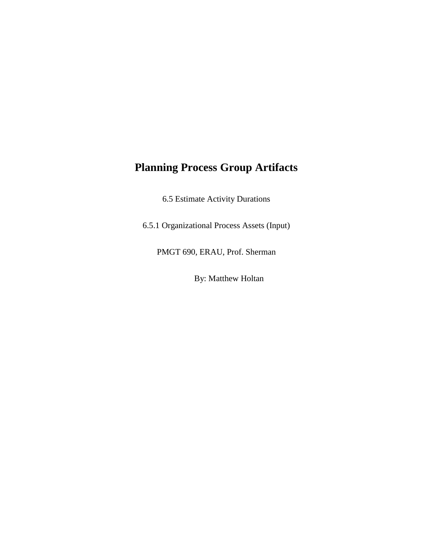## **Planning Process Group Artifacts**

6.5 Estimate Activity Durations

6.5.1 Organizational Process Assets (Input)

PMGT 690, ERAU, Prof. Sherman

By: Matthew Holtan